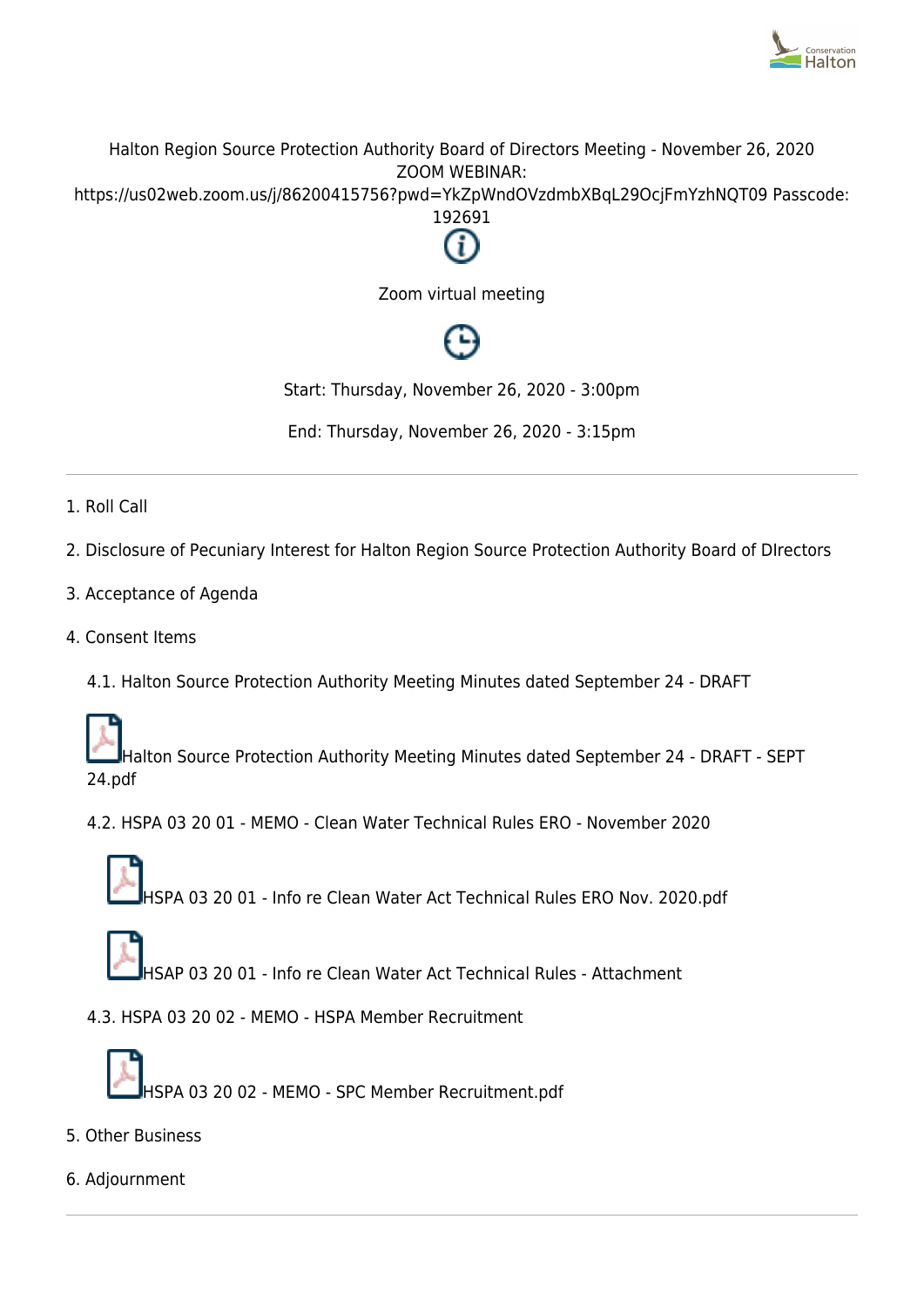

Halton Region Source Protection Authority Board of Directors Meeting - November 26, 2020 ZOOM WEBINAR: https://us02web.zoom.us/j/86200415756?pwd=YkZpWndOVzdmbXBqL29OcjFmYzhNQT09 Passcode:

192691

Zoom virtual meeting

Start: Thursday, November 26, 2020 - 3:00pm

End: Thursday, November 26, 2020 - 3:15pm

- 1. Roll Call
- 2. Disclosure of Pecuniary Interest for Halton Region Source Protection Authority Board of DIrectors
- 3. Acceptance of Agenda
- 4. Consent Items
	- 4.1. Halton Source Protection Authority Meeting Minutes dated September 24 DRAFT

Halton Source Protection Authority Meeting Minutes dated September 24 - DRAFT - SEPT 24.pdf

4.2. HSPA 03 20 01 - MEMO - Clean Water Technical Rules ERO - November 2020



HSPA 03 20 01 - Info re Clean Water Act Technical Rules ERO Nov. 2020.pdf



ISAP 03 20 01 - Info re Clean Water Act Technical Rules - Attachment

4.3. HSPA 03 20 02 - MEMO - HSPA Member Recruitment



- 5. Other Business
- 6. Adjournment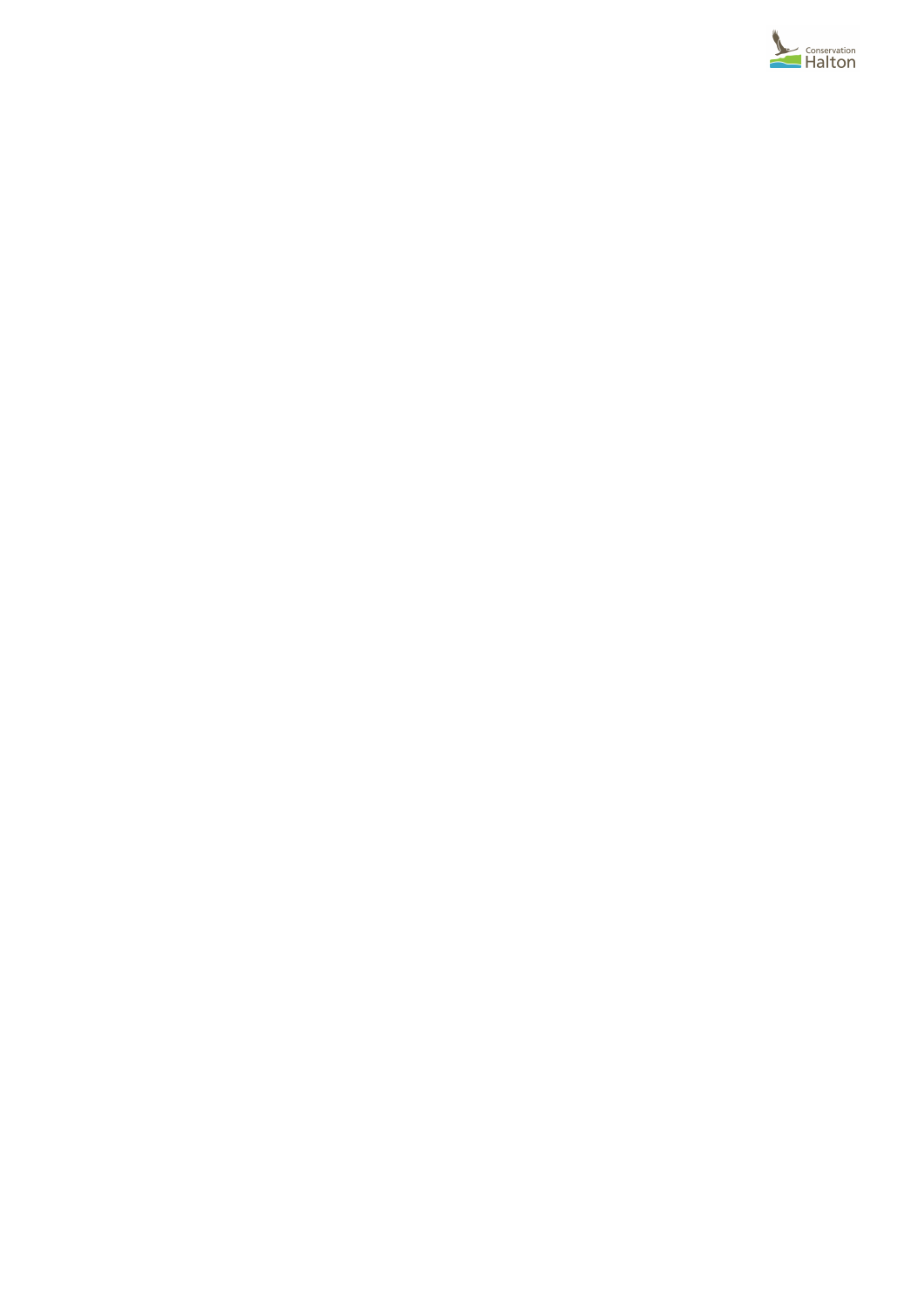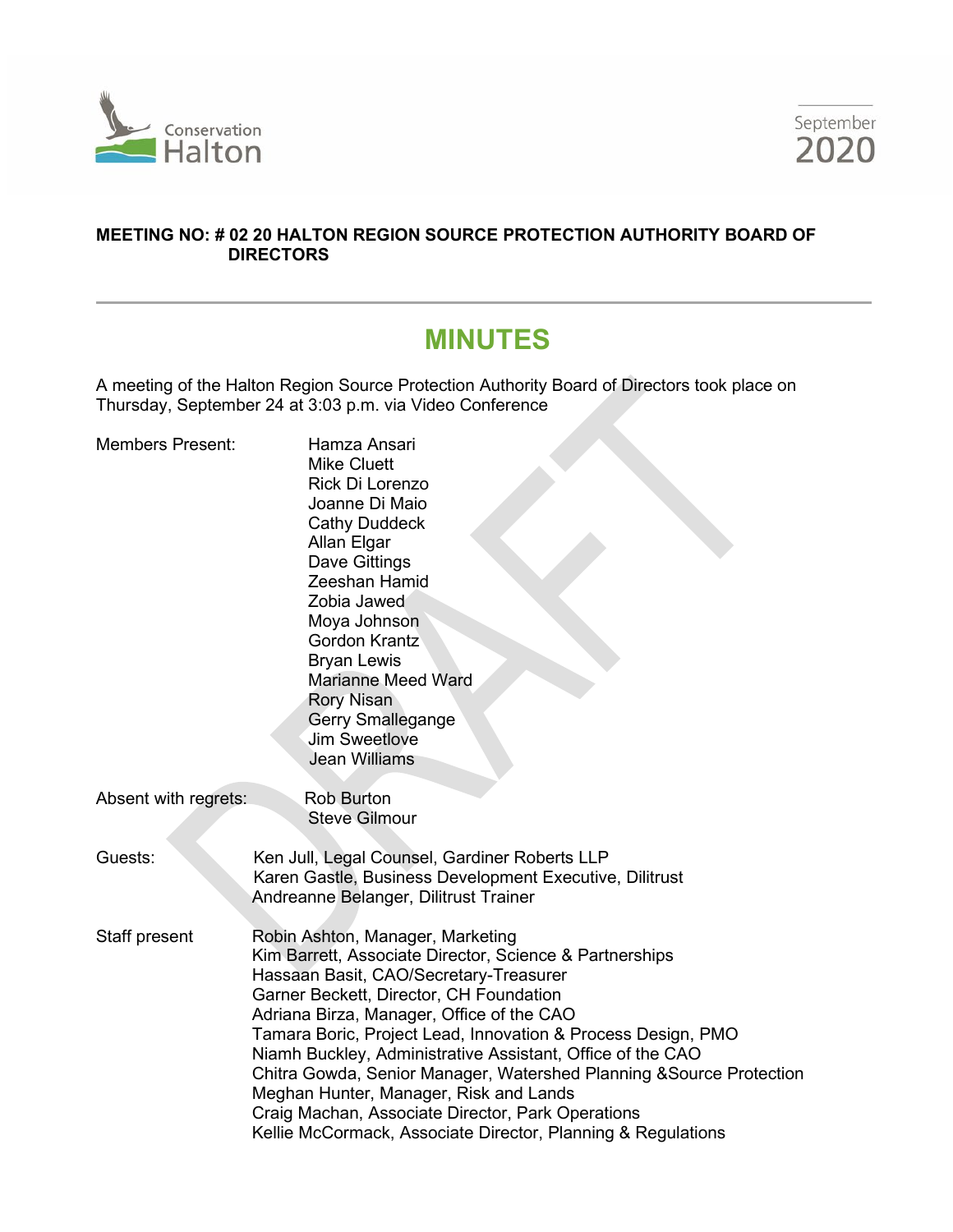



#### **MEETING NO: # 02 20 HALTON REGION SOURCE PROTECTION AUTHORITY BOARD OF DIRECTORS**

# **MINUTES**

A meeting of the Halton Region Source Protection Authority Board of Directors took place on Thursday, September 24 at 3:03 p.m. via Video Conference

| <b>Members Present:</b> | Hamza Ansari<br><b>Mike Cluett</b><br>Rick Di Lorenzo<br>Joanne Di Maio<br><b>Cathy Duddeck</b><br>Allan Elgar<br>Dave Gittings<br>Zeeshan Hamid<br>Zobia Jawed<br>Moya Johnson<br><b>Gordon Krantz</b><br><b>Bryan Lewis</b><br><b>Marianne Meed Ward</b><br>Rory Nisan<br><b>Gerry Smallegange</b><br><b>Jim Sweetlove</b><br><b>Jean Williams</b>                                                                                                                                                                                                                                               |
|-------------------------|----------------------------------------------------------------------------------------------------------------------------------------------------------------------------------------------------------------------------------------------------------------------------------------------------------------------------------------------------------------------------------------------------------------------------------------------------------------------------------------------------------------------------------------------------------------------------------------------------|
| Absent with regrets:    | <b>Rob Burton</b><br><b>Steve Gilmour</b>                                                                                                                                                                                                                                                                                                                                                                                                                                                                                                                                                          |
| Guests:                 | Ken Jull, Legal Counsel, Gardiner Roberts LLP<br>Karen Gastle, Business Development Executive, Dilitrust<br>Andreanne Belanger, Dilitrust Trainer                                                                                                                                                                                                                                                                                                                                                                                                                                                  |
| Staff present           | Robin Ashton, Manager, Marketing<br>Kim Barrett, Associate Director, Science & Partnerships<br>Hassaan Basit, CAO/Secretary-Treasurer<br>Garner Beckett, Director, CH Foundation<br>Adriana Birza, Manager, Office of the CAO<br>Tamara Boric, Project Lead, Innovation & Process Design, PMO<br>Niamh Buckley, Administrative Assistant, Office of the CAO<br>Chitra Gowda, Senior Manager, Watershed Planning & Source Protection<br>Meghan Hunter, Manager, Risk and Lands<br>Craig Machan, Associate Director, Park Operations<br>Kellie McCormack, Associate Director, Planning & Regulations |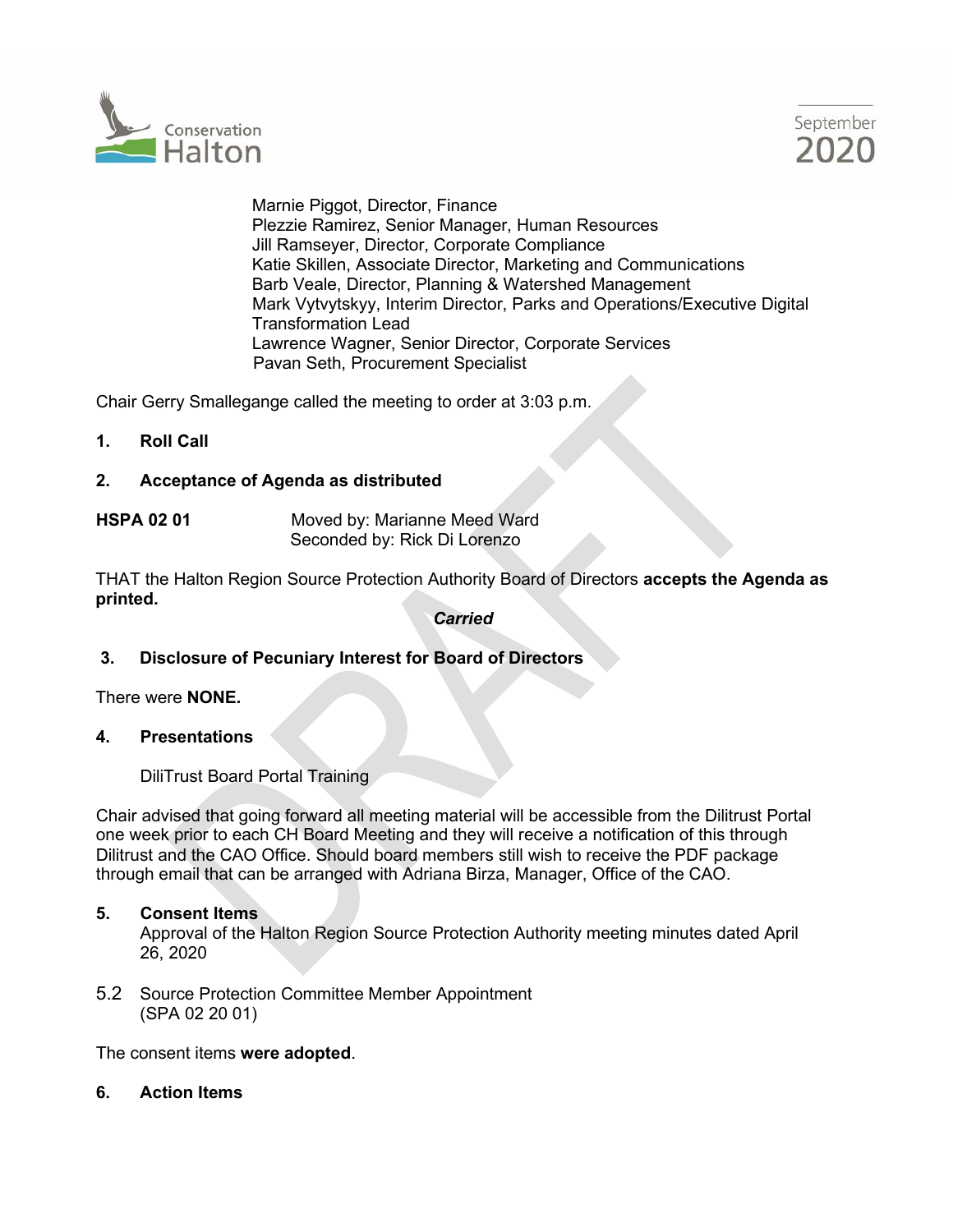



Marnie Piggot, Director, Finance Plezzie Ramirez, Senior Manager, Human Resources Jill Ramseyer, Director, Corporate Compliance Katie Skillen, Associate Director, Marketing and Communications Barb Veale, Director, Planning & Watershed Management Mark Vytvytskyy, Interim Director, Parks and Operations/Executive Digital Transformation Lead Lawrence Wagner, Senior Director, Corporate Services Pavan Seth, Procurement Specialist

Chair Gerry Smallegange called the meeting to order at 3:03 p.m.

**1. Roll Call**

#### **2. Acceptance of Agenda as distributed**

**HSPA 02 01** Moved by: Marianne Meed Ward Seconded by: Rick Di Lorenzo

THAT the Halton Region Source Protection Authority Board of Directors **accepts the Agenda as printed.** 

*Carried* 

**3. Disclosure of Pecuniary Interest for Board of Directors**

There were **NONE.** 

**4. Presentations**

DiliTrust Board Portal Training

Chair advised that going forward all meeting material will be accessible from the Dilitrust Portal one week prior to each CH Board Meeting and they will receive a notification of this through Dilitrust and the CAO Office. Should board members still wish to receive the PDF package through email that can be arranged with Adriana Birza, Manager, Office of the CAO.

#### **5. Consent Items**

Approval of the Halton Region Source Protection Authority meeting minutes dated April 26, 2020

5.2 Source Protection Committee Member Appointment (SPA 02 20 01)

The consent items **were adopted**.

**6. Action Items**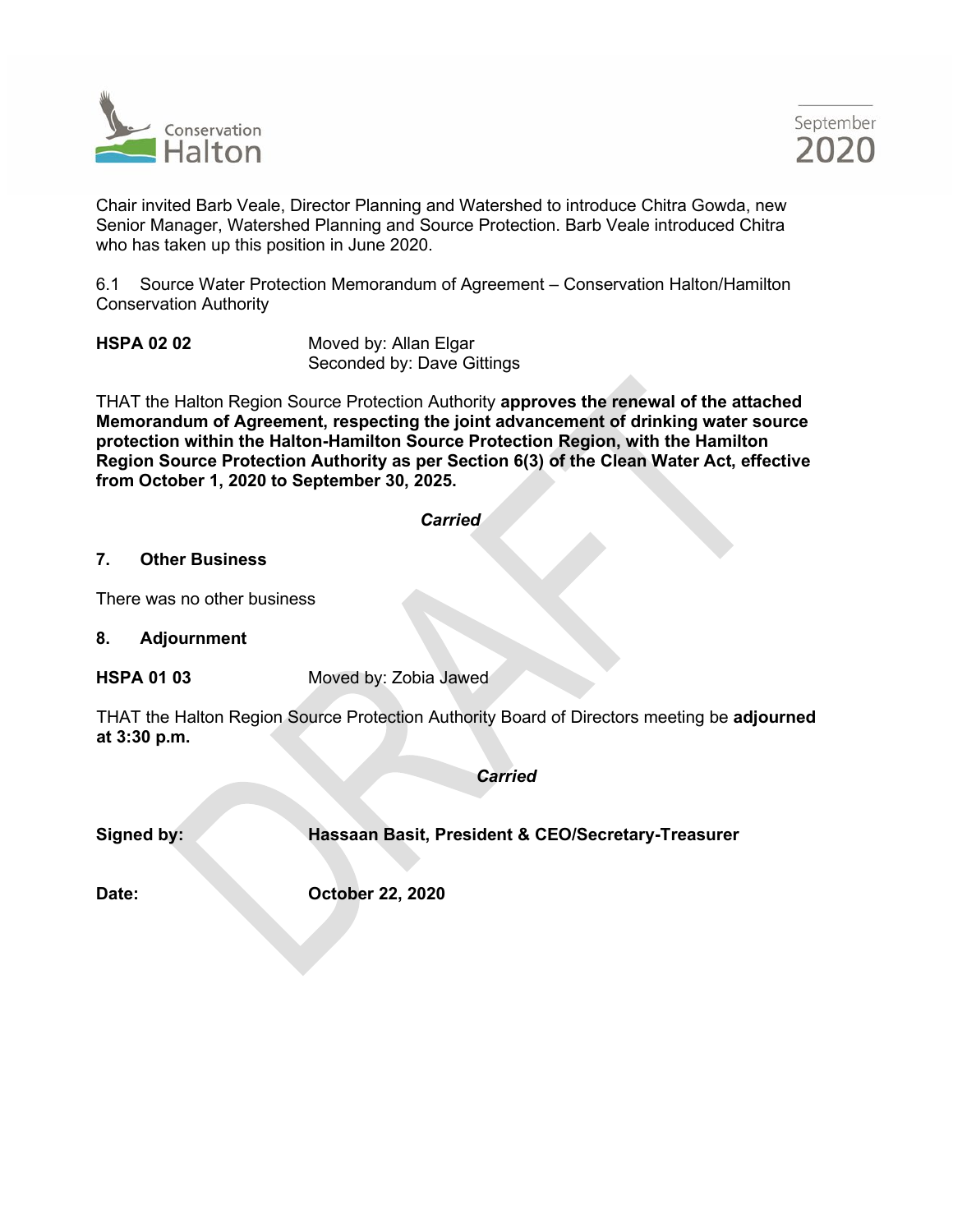



Chair invited Barb Veale, Director Planning and Watershed to introduce Chitra Gowda, new Senior Manager, Watershed Planning and Source Protection. Barb Veale introduced Chitra who has taken up this position in June 2020.

6.1 Source Water Protection Memorandum of Agreement – Conservation Halton/Hamilton Conservation Authority

**HSPA 02 02** Moved by: Allan Elgar Seconded by: Dave Gittings

THAT the Halton Region Source Protection Authority **approves the renewal of the attached Memorandum of Agreement, respecting the joint advancement of drinking water source protection within the Halton-Hamilton Source Protection Region, with the Hamilton Region Source Protection Authority as per Section 6(3) of the Clean Water Act, effective from October 1, 2020 to September 30, 2025.**

#### *Carried*

#### **7. Other Business**

There was no other business

#### **8. Adjournment**

**HSPA 01 03** Moved by: Zobia Jawed

THAT the Halton Region Source Protection Authority Board of Directors meeting be **adjourned at 3:30 p.m.** 

*Carried*

**Signed by: Hassaan Basit, President & CEO/Secretary-Treasurer** 

**Date: October 22, 2020**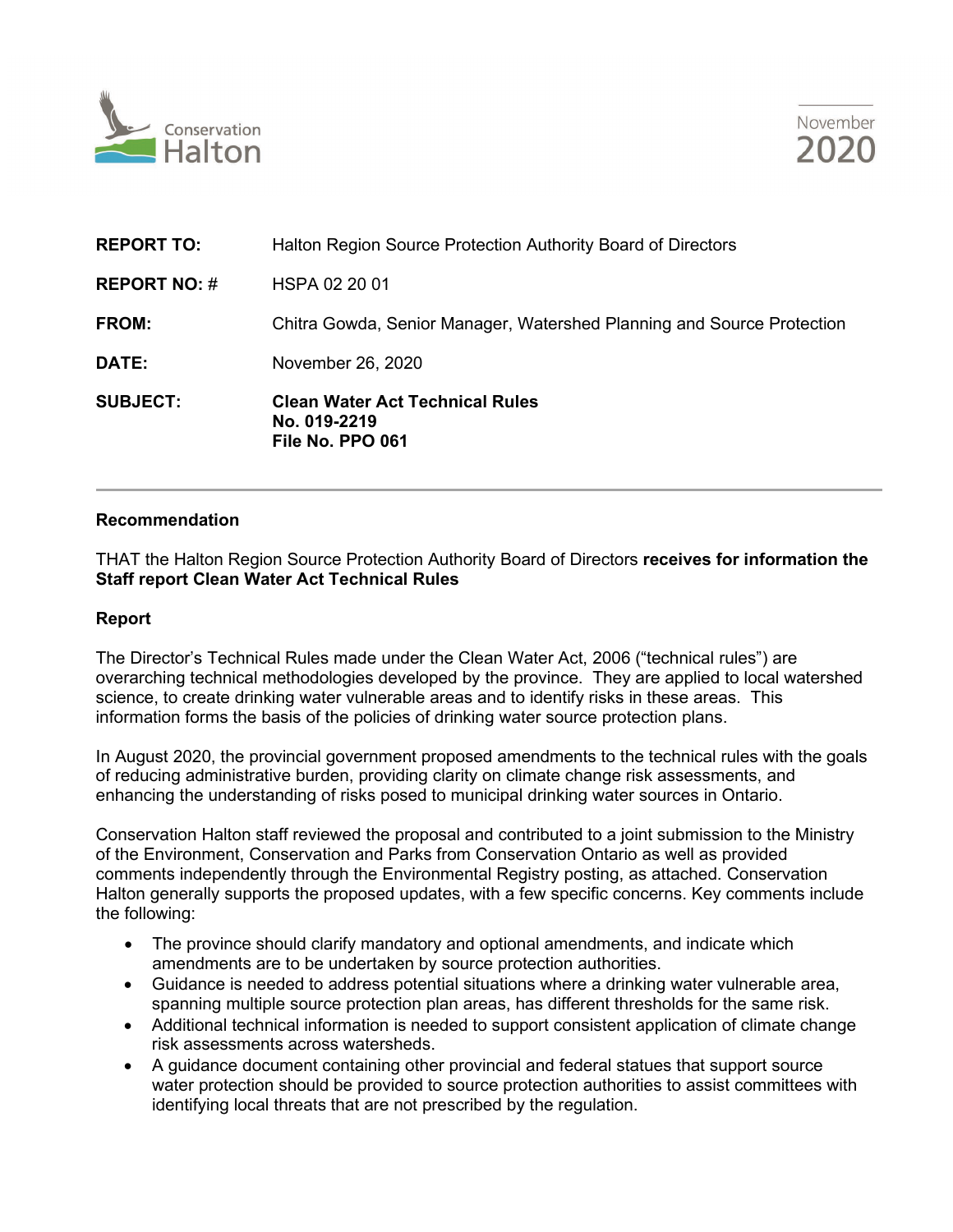



| <b>SUBJECT:</b>     | <b>Clean Water Act Technical Rules</b><br>No. 019-2219<br>File No. PPO 061 |
|---------------------|----------------------------------------------------------------------------|
| <b>DATE:</b>        | November 26, 2020                                                          |
| <b>FROM:</b>        | Chitra Gowda, Senior Manager, Watershed Planning and Source Protection     |
| <b>REPORT NO: #</b> | HSPA 02 20 01                                                              |
| <b>REPORT TO:</b>   | Halton Region Source Protection Authority Board of Directors               |

#### **Recommendation**

THAT the Halton Region Source Protection Authority Board of Directors **receives for information the Staff report Clean Water Act Technical Rules**

#### **Report**

The Director's Technical Rules made under the Clean Water Act, 2006 ("technical rules") are overarching technical methodologies developed by the province. They are applied to local watershed science, to create drinking water vulnerable areas and to identify risks in these areas. This information forms the basis of the policies of drinking water source protection plans.

In August 2020, the provincial government proposed amendments to the technical rules with the goals of reducing administrative burden, providing clarity on climate change risk assessments, and enhancing the understanding of risks posed to municipal drinking water sources in Ontario.

Conservation Halton staff reviewed the proposal and contributed to a joint submission to the Ministry of the Environment, Conservation and Parks from Conservation Ontario as well as provided comments independently through the Environmental Registry posting, as attached. Conservation Halton generally supports the proposed updates, with a few specific concerns. Key comments include the following:

- The province should clarify mandatory and optional amendments, and indicate which amendments are to be undertaken by source protection authorities.
- Guidance is needed to address potential situations where a drinking water vulnerable area, spanning multiple source protection plan areas, has different thresholds for the same risk.
- Additional technical information is needed to support consistent application of climate change risk assessments across watersheds.
- A guidance document containing other provincial and federal statues that support source water protection should be provided to source protection authorities to assist committees with identifying local threats that are not prescribed by the regulation.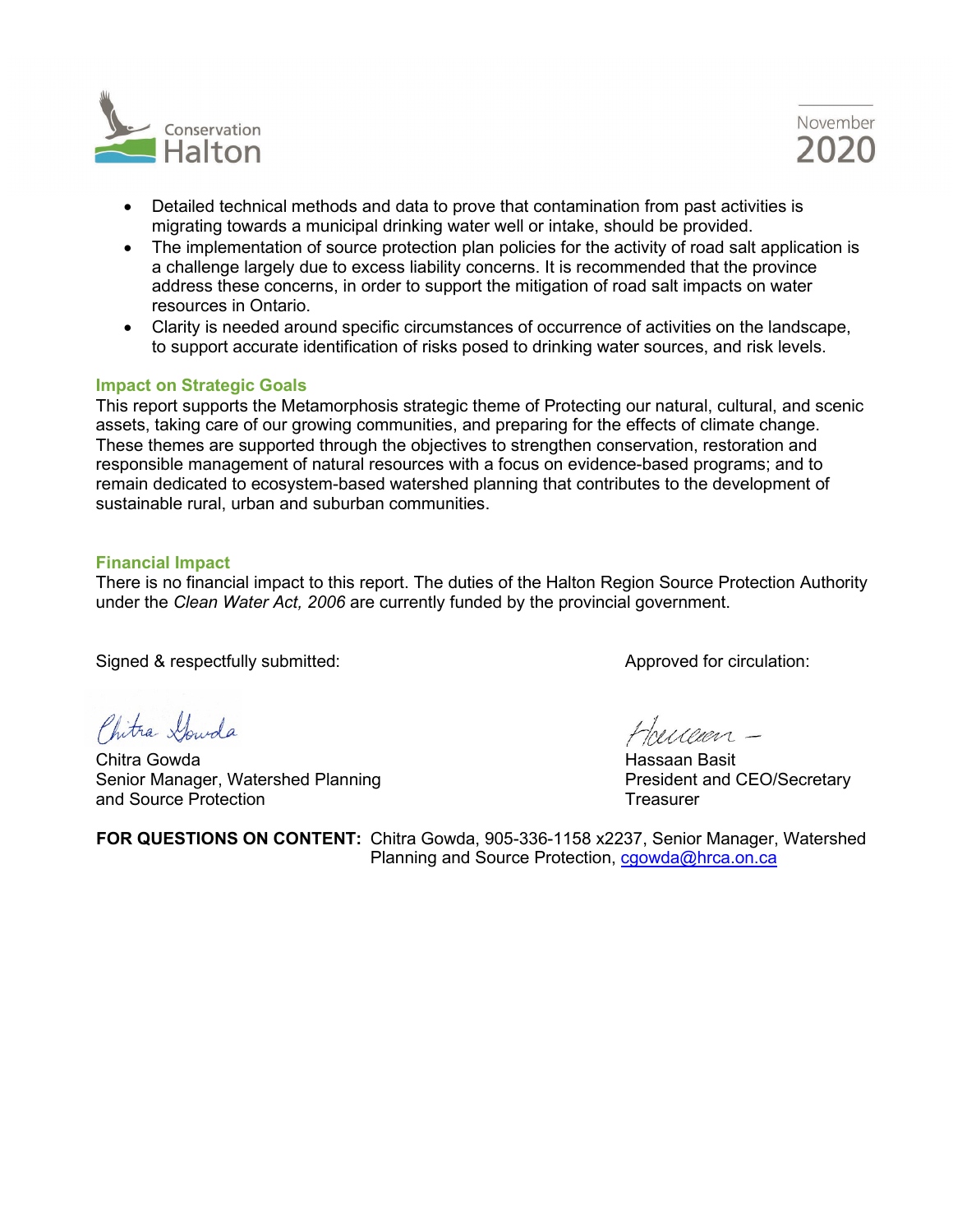



- Detailed technical methods and data to prove that contamination from past activities is migrating towards a municipal drinking water well or intake, should be provided.
- The implementation of source protection plan policies for the activity of road salt application is a challenge largely due to excess liability concerns. It is recommended that the province address these concerns, in order to support the mitigation of road salt impacts on water resources in Ontario.
- Clarity is needed around specific circumstances of occurrence of activities on the landscape, to support accurate identification of risks posed to drinking water sources, and risk levels.

#### **Impact on Strategic Goals**

This report supports the Metamorphosis strategic theme of Protecting our natural, cultural, and scenic assets, taking care of our growing communities, and preparing for the effects of climate change. These themes are supported through the objectives to strengthen conservation, restoration and responsible management of natural resources with a focus on evidence-based programs; and to remain dedicated to ecosystem-based watershed planning that contributes to the development of sustainable rural, urban and suburban communities.

#### **Financial Impact**

There is no financial impact to this report. The duties of the Halton Region Source Protection Authority under the *Clean Water Act, 2006* are currently funded by the provincial government.

Signed & respectfully submitted: Approved for circulation:

Phitra Gowda

Chitra Gowda Hassaan Basit Senior Manager, Watershed Planning **President and CEO/Secretary** and Source Protection **Treasurer** Treasurer

trencen-

**FOR QUESTIONS ON CONTENT:** Chitra Gowda, 905-336-1158 x2237, Senior Manager, Watershed Planning and Source Protection, [cgowda@hrca.on.ca](mailto:cgowda@hrca.on.ca)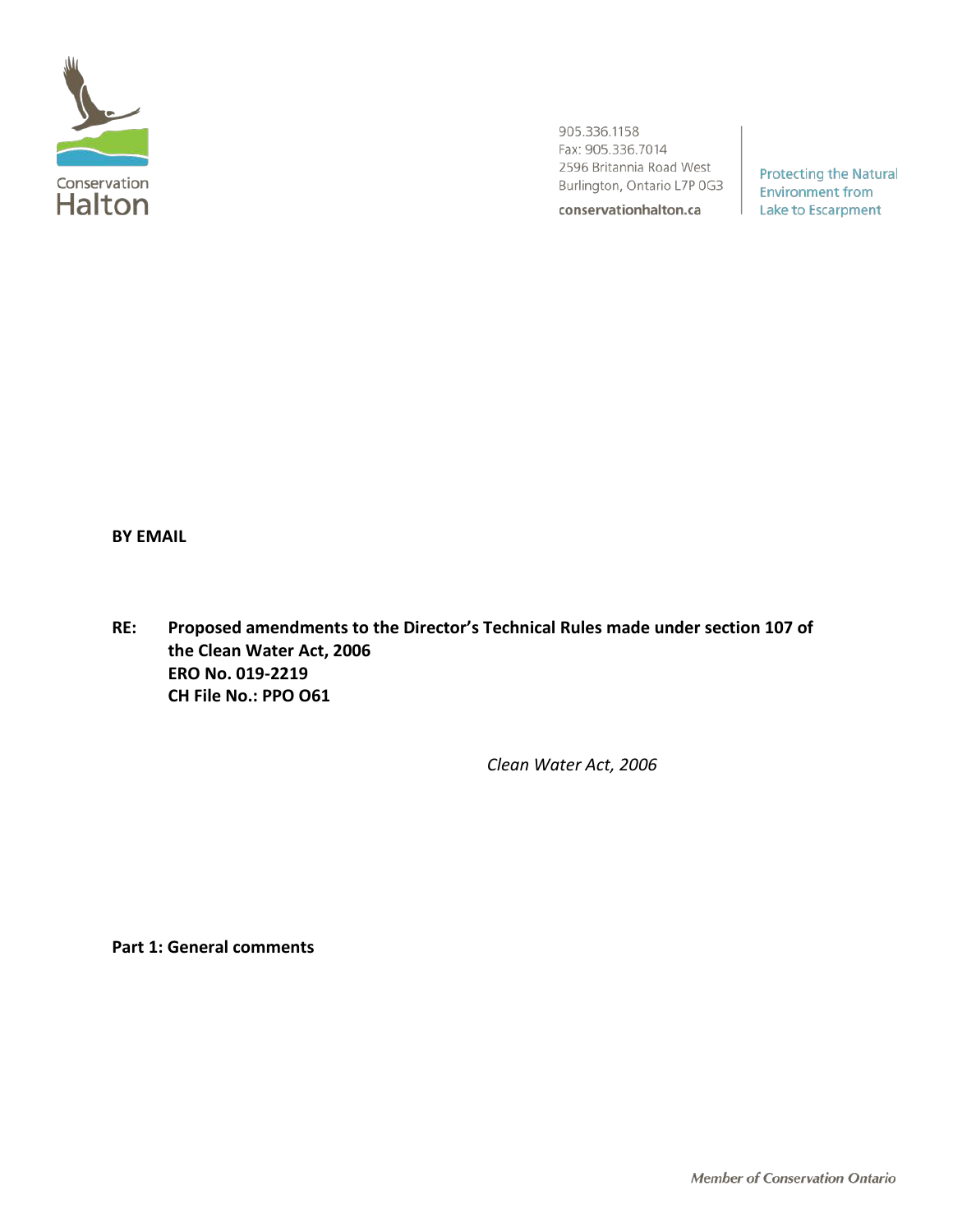

905.336.1158 Fax: 905.336.7014 2596 Britannia Road West Burlington, Ontario L7P 0G3 conservationhalton.ca

**Protecting the Natural Environment from** Lake to Escarpment

November 9, 2020

Dr. George Jacoub, P.Eng. Water Research Scientist Hydrologist Ontario Ministry of the Environment, Conservation and Parks Source Protection Programs Branch Land and Water Division 40 St. Clair Ave. W14th Floor Toronto,ONM4V 1M2 Email: Georgelacoub@ontario.ca

#### **BY EMAIL**

Dear Dr. Jacoub,

**RE: Proposed amendments to the Director's Technical Rules made under section 107 of the Clean Water Act, 2006 ERO No. 019-2219 CH File No.: PPO O61**

Thank you for the opportunity to provide coments on the Province's proped amendments to the Director's Technical Rules made under *Cheen Water Act, 2006* ("technical rules), including the tables of drinking water threats.

ConservationHalton (CH) ithe lead source protection authority of the Halton-Hamilton Source Protection Regionworking in strong partnership with the Hamilton Conservation Authority. CH comments are provided below ganized nto threemain parts: general, technical rules and tables of drinking water threats.

#### **Part 1: General comments**

CH supports effort sto update the provincial technical rules, including the tables of drinking water threats to ensure thatOntario's sources of drinking water continute be proteded throughsource protection planning that is supported by arrent science.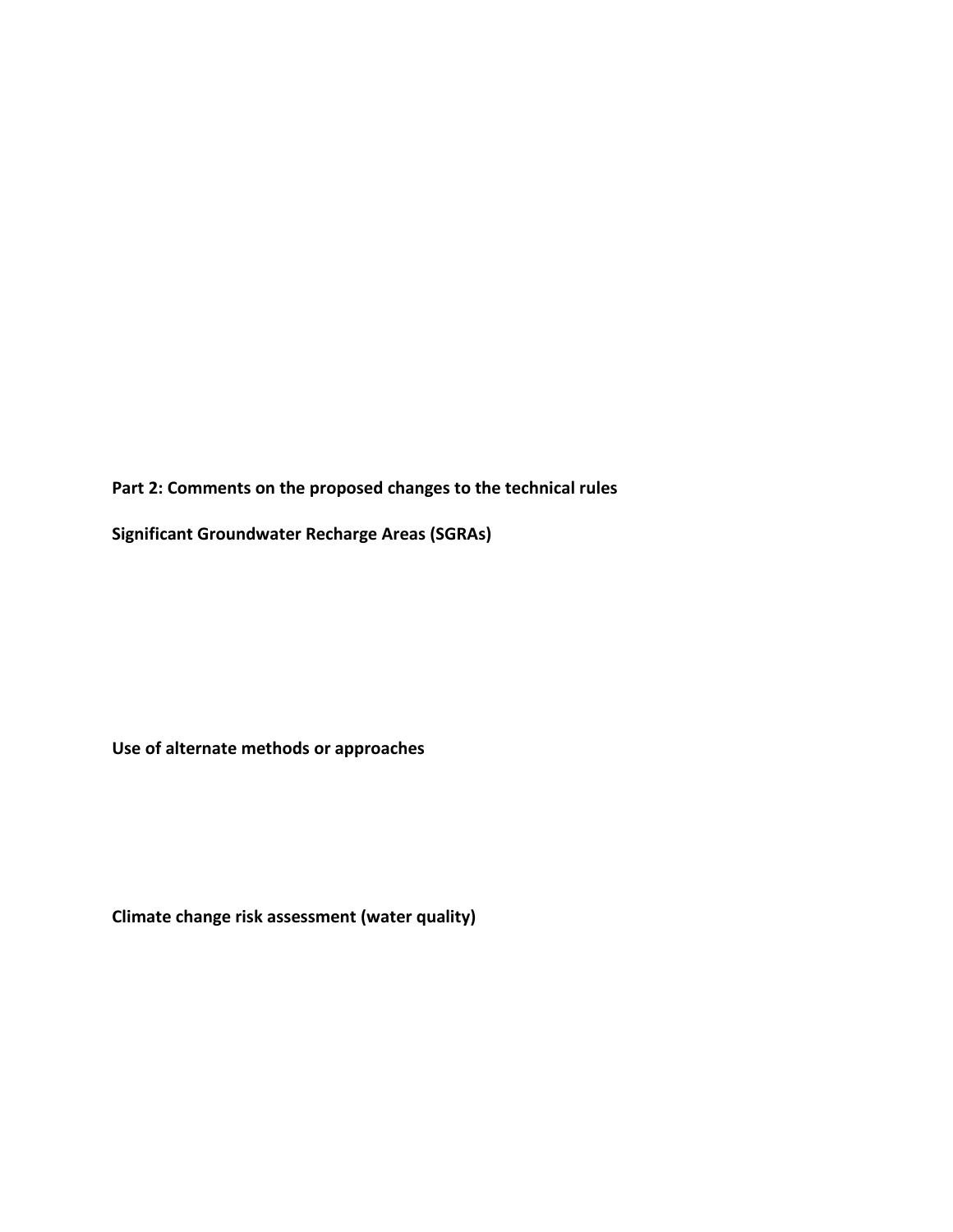CH recommends the province clarify proposed amendments that are mandatory to apply, those that are enabling and those whichwill be funded under the provincial Drinking Wa Source Protectionprogram.

CH recommends thata comparion document be provided thowing current and proposed threat risk circumstances and listing the policy tooloptions available for each of the changed sub-threat categories.

The province should provide guidance on how to address potential situations where a drinking water vulnerablearea, spanning multiple source protection planapplicabilityareas has different thresholds forthe same threat activity.

It is recommended that the province arifywhethernew threats circumstances would only apply tovulnerable areas associated withew or changed drinking water systems, or if they would apply to existing threatactivities as well

# **Part 2: Comments on the proposed changes to the technical rules**

# **Significant Groundwater Recharge Areas (SGRAs)**

Stakeholderconcernsof water quality in SGR as bould be considered in the technical rules, alongsiderecharge considerations With the proposed banges to the technical rules, conditions(contamination from pastactivities) can no longer be identified in SGRAssenif updated information become available to source protection committeesCH recommends that the technical rule 126 allow for conditions to be identified in SGRAsThisin turn allows for a consideration of policies in source protection plans to support clean waterrechargeto groundwater aquifers that supply municipaldrinking water wells.

# **Use of alternate methods or approaches**

While CH supports the intent of reducing administive burden, it is recommended that additional information be provided irproposedtechnical rules 15.1 and 5.2 to clearly specify the stage in the assessment reporpticate process thata) the municipalities will be consulted with on the alternate method, and (the Director will review the atternate method and issue a noticeto the source protecton authority.

# **Climate change risk assessment (water quality)**

CH commends the Province to their intent to strengthen the consideration of climate change impacts on source wateruality underthe source protectionplanning process to complement the current and detailed technical rules for water quality. It is recommended thatechnical rule 15.3 provideadditionalinformationfor clarity and to support consistent application of technical methodsfor climate changerisk assessments acromatersheds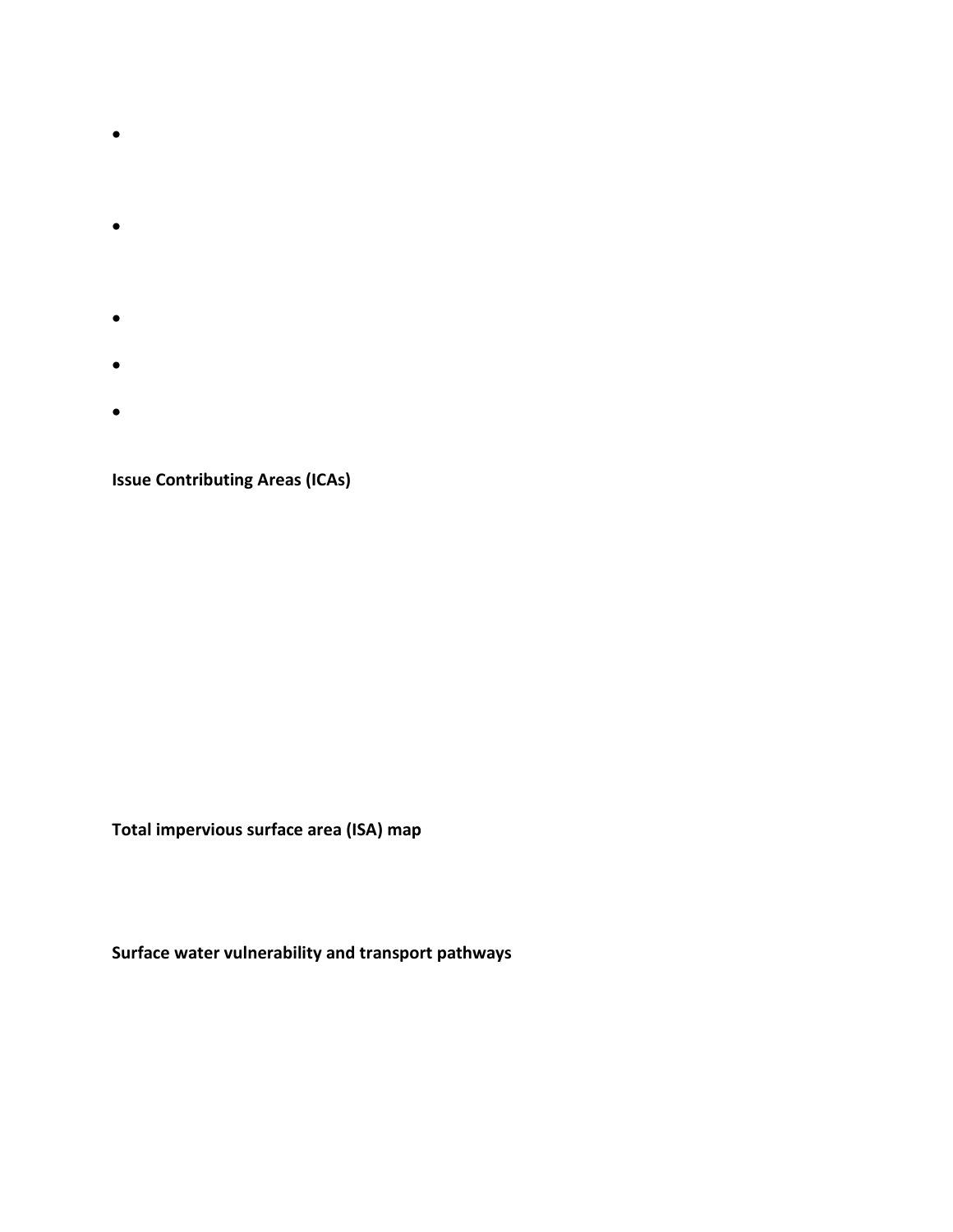- Includedefinitionsfor terms usedin climate changerisk assessments For example,  $\phi$  fine the proposed tem "resiliency" (to climate change impacts The assessment of climate change impacts on source water quality is not a wedesearched matter, therefore haing definitionshelps support consiency.
- Considerthe recently developed limate changevulnerabilityassessmentool for source water quality, to addfurther detailsto the proposedtechnical rules such as data periods for historical and future analysety pical steps of a climate changerisk assessment to. Alternately, develop bulletin that includes these details.
- Provide a detailed guidance on what to do with the outcome of the climate change assessment, including policy computed mitigation and adaptation measures.
- $\bullet$  Explain how to achievearmonizationwith other climatechange initiatives such as the provincial climate impacts aessment
- Clarifywhich organizationundertakes the climate changerisk assessent. The proposed changeindicates that source protection committees will undertake this work.

# **Issue Contributing Areas (ICAs)**

CH is supportive of introduing ICAs as stand the vulnerable areas t is recommended that the Province provide guidance source protectionauthorities to helpmeet the requirement of proposedtechnical rules 48(7) and 78.1 of evidence that certain activities and conditions contribute to an identified drinking water issue Theguidance an include examples ofast technical studies that have roven cumulative impacts and were approved by the Province, alongwith study parameters. This will help clarify whether studies such as dading estimations are acceptable.

Further, it is recommende that technical rule 114includetimelines associated with increasing trend concentations that may result in deterioration of the quality of the wateor example an exceedance of established tandards within a specified number of years. This would support a consistentapproach for municipalities that may currently be subject to inconsistent methods applied to theirvarious drinking water systems.

# **Total impervious surface area (ISA) map**

CH appreciates the intent of providing local flexibility in developing the mapsunder technical rule 16 (11). It is recommunded that examples othe proposed sub-areas be provided for clarity.

# **Surface water vulnerability and transport pathways**

CH is supportive of the intent of the proposed changes technical rule 62.1 (to extend htake Protection Zones-1 or IPZ1sto capture transport pathways and totechnical rule \$6, 87, 89 (to allow for multiplescores within each IPZ to capture variations in land and hydrological conditions). However CH recommends that furthedetailed criteria be included in the technical rulesto support consistencing application across various watersheds and drinking water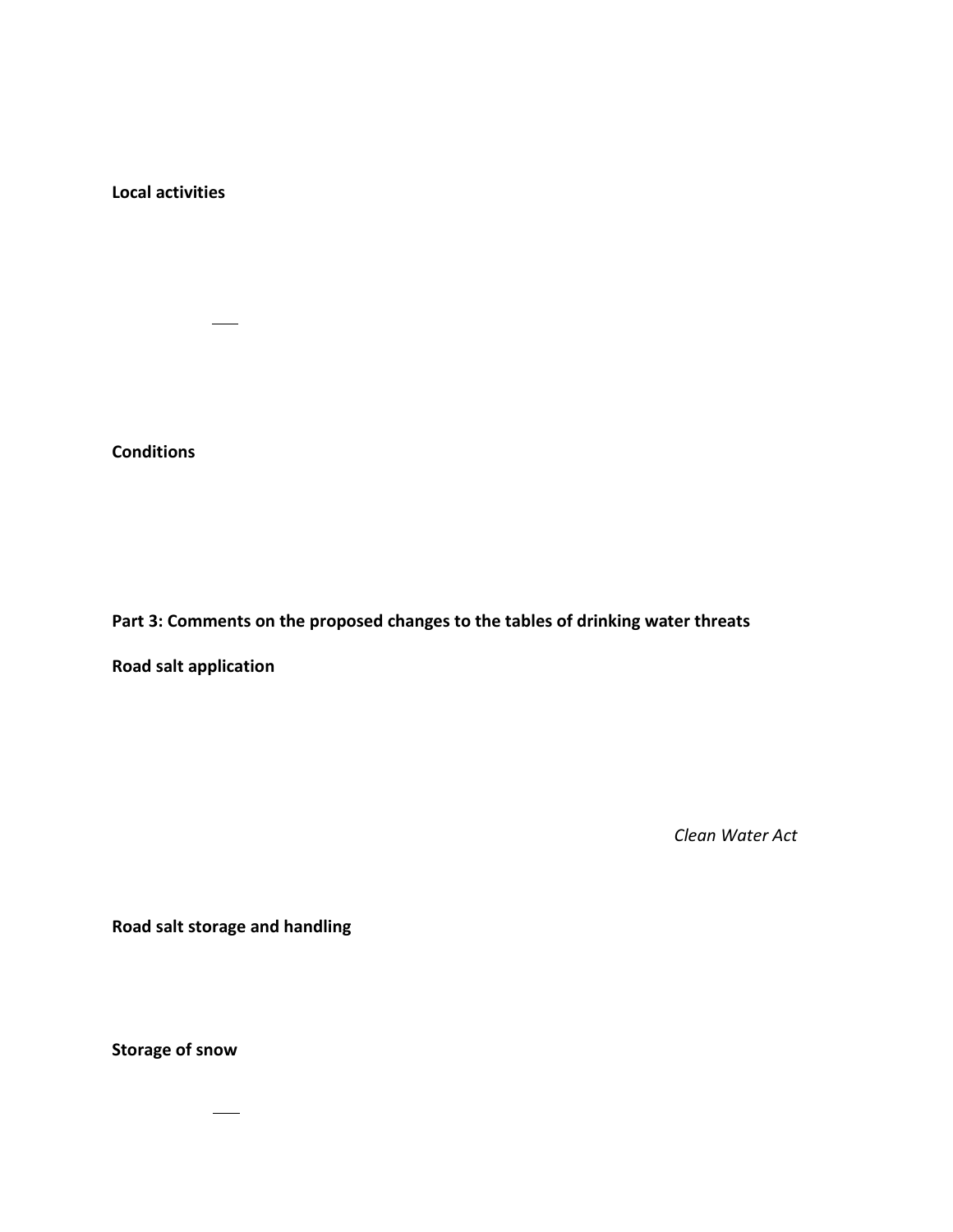intakes, and to define each area of the IPZ". It is also recommended technical 73 include factors of age and condition of the potential anthropogenic transport pathway.

# **Local activities**

The proposed change to technical rule 119 appears to support an assumpt that all provincial and federal legislationaddres solrinking water some protection adequately for activities regulatedunderthose statutes. CH recommends that the roposed technical rule 119 subsection (2) "an approval is not required to engage in the activity pursuant to any Act (Provincial or Federal); not be included i the technicalrules. Alternately, the Province is resommended to providea guidancedocument that lists provincial and  $\acute{\textbf{e}}$  detail statues that can be relied on for source water protectior and specify the types of activities. This will help reduce the redundancy across the province niconducting researchand consulting with various government agences and legal staff torrive at that determination.

# **Conditions**

The proposed wording change in technical rule 141 from "offsite" to "migrating" appears to require detailed technical data and analysis qualified persons to verify that contaminant is migrating to the well or intake $CH$  recommendsthat the Province specify the chnical methods and data sets needed undertake such an analysito prove that contamination is migrating towards a munipal drinking water welbr intake.

# **Part 3: Comments on the proposed changes to the tables of drinking water threats**

# **Road salt application**

The intent of the province to mitigate the impacts of road salt on drinking waters commended. However, the implementation of source protection plar policies for the activity of road salt application is a challenge largely due to excessiability concerns. There is apriority need to review the current liability frameworkand also to addressinsurance coverage issue Further, road salt applicationand storage standardshould be set for omtractors.

These policy implementationchallenges are outside of the purview of the *Clean Water Act*. CH recommends that the province address these argeconcerns in order to support the mitigation of road salt impacts on water resces in Ontario.

# **Road salt storage and handling**

Clarity is needed as to whetherthe proposed lowered threshold would apply to bags of road salt stored in residential areas. The province requested to develop a municipal toolkit for education and outrach and for risk management plans.

# **Storage of snow**

The intent of the proposed lowered snow storage areath resholds should be clarified, as it appears that any size of an area of snow storage is a significant threat a WHPA of score 10